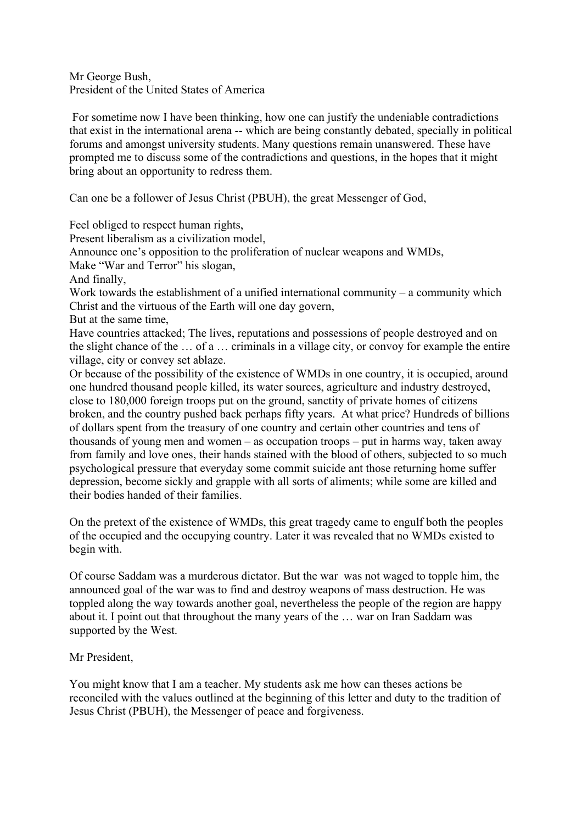Mr George Bush, President of the United States of America

 For sometime now I have been thinking, how one can justify the undeniable contradictions that exist in the international arena -- which are being constantly debated, specially in political forums and amongst university students. Many questions remain unanswered. These have prompted me to discuss some of the contradictions and questions, in the hopes that it might bring about an opportunity to redress them.

Can one be a follower of Jesus Christ (PBUH), the great Messenger of God,

Feel obliged to respect human rights,

Present liberalism as a civilization model,

Announce one's opposition to the proliferation of nuclear weapons and WMDs,

Make "War and Terror" his slogan,

And finally,

Work towards the establishment of a unified international community – a community which Christ and the virtuous of the Earth will one day govern,

But at the same time,

Have countries attacked; The lives, reputations and possessions of people destroyed and on the slight chance of the … of a … criminals in a village city, or convoy for example the entire village, city or convey set ablaze.

Or because of the possibility of the existence of WMDs in one country, it is occupied, around one hundred thousand people killed, its water sources, agriculture and industry destroyed, close to 180,000 foreign troops put on the ground, sanctity of private homes of citizens broken, and the country pushed back perhaps fifty years. At what price? Hundreds of billions of dollars spent from the treasury of one country and certain other countries and tens of thousands of young men and women – as occupation troops – put in harms way, taken away from family and love ones, their hands stained with the blood of others, subjected to so much psychological pressure that everyday some commit suicide ant those returning home suffer depression, become sickly and grapple with all sorts of aliments; while some are killed and their bodies handed of their families.

On the pretext of the existence of WMDs, this great tragedy came to engulf both the peoples of the occupied and the occupying country. Later it was revealed that no WMDs existed to begin with.

Of course Saddam was a murderous dictator. But the war was not waged to topple him, the announced goal of the war was to find and destroy weapons of mass destruction. He was toppled along the way towards another goal, nevertheless the people of the region are happy about it. I point out that throughout the many years of the … war on Iran Saddam was supported by the West.

Mr President,

You might know that I am a teacher. My students ask me how can theses actions be reconciled with the values outlined at the beginning of this letter and duty to the tradition of Jesus Christ (PBUH), the Messenger of peace and forgiveness.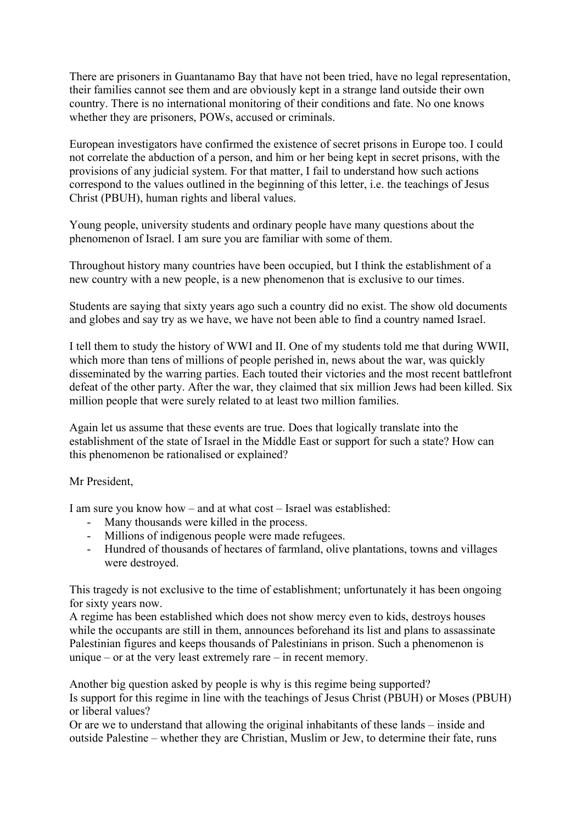There are prisoners in Guantanamo Bay that have not been tried, have no legal representation, their families cannot see them and are obviously kept in a strange land outside their own country. There is no international monitoring of their conditions and fate. No one knows whether they are prisoners, POWs, accused or criminals.

European investigators have confirmed the existence of secret prisons in Europe too. I could not correlate the abduction of a person, and him or her being kept in secret prisons, with the provisions of any judicial system. For that matter, I fail to understand how such actions correspond to the values outlined in the beginning of this letter, i.e. the teachings of Jesus Christ (PBUH), human rights and liberal values.

Young people, university students and ordinary people have many questions about the phenomenon of Israel. I am sure you are familiar with some of them.

Throughout history many countries have been occupied, but I think the establishment of a new country with a new people, is a new phenomenon that is exclusive to our times.

Students are saying that sixty years ago such a country did no exist. The show old documents and globes and say try as we have, we have not been able to find a country named Israel.

I tell them to study the history of WWI and II. One of my students told me that during WWII, which more than tens of millions of people perished in, news about the war, was quickly disseminated by the warring parties. Each touted their victories and the most recent battlefront defeat of the other party. After the war, they claimed that six million Jews had been killed. Six million people that were surely related to at least two million families.

Again let us assume that these events are true. Does that logically translate into the establishment of the state of Israel in the Middle East or support for such a state? How can this phenomenon be rationalised or explained?

## Mr President,

I am sure you know how – and at what cost – Israel was established:

- Many thousands were killed in the process.
- Millions of indigenous people were made refugees.
- Hundred of thousands of hectares of farmland, olive plantations, towns and villages were destroyed.

This tragedy is not exclusive to the time of establishment; unfortunately it has been ongoing for sixty years now.

A regime has been established which does not show mercy even to kids, destroys houses while the occupants are still in them, announces beforehand its list and plans to assassinate Palestinian figures and keeps thousands of Palestinians in prison. Such a phenomenon is unique – or at the very least extremely rare – in recent memory.

Another big question asked by people is why is this regime being supported? Is support for this regime in line with the teachings of Jesus Christ (PBUH) or Moses (PBUH) or liberal values?

Or are we to understand that allowing the original inhabitants of these lands – inside and outside Palestine – whether they are Christian, Muslim or Jew, to determine their fate, runs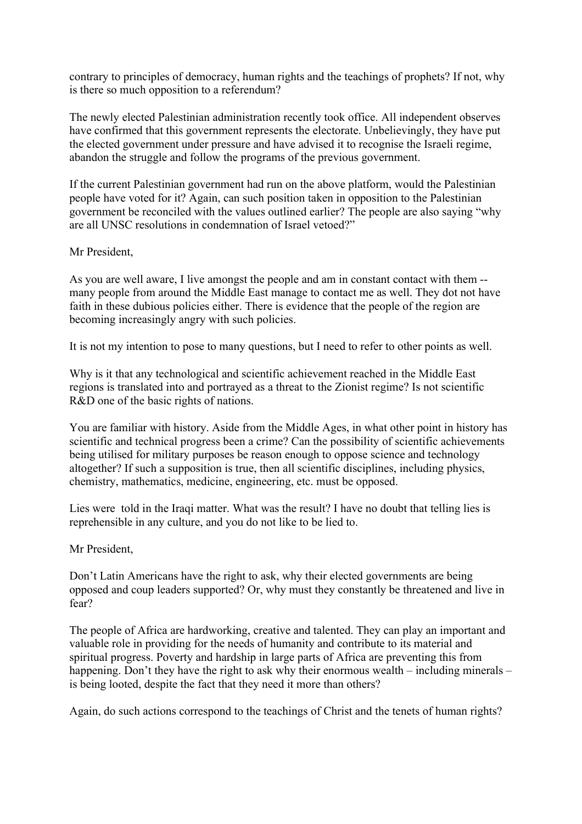contrary to principles of democracy, human rights and the teachings of prophets? If not, why is there so much opposition to a referendum?

The newly elected Palestinian administration recently took office. All independent observes have confirmed that this government represents the electorate. Unbelievingly, they have put the elected government under pressure and have advised it to recognise the Israeli regime, abandon the struggle and follow the programs of the previous government.

If the current Palestinian government had run on the above platform, would the Palestinian people have voted for it? Again, can such position taken in opposition to the Palestinian government be reconciled with the values outlined earlier? The people are also saying "why are all UNSC resolutions in condemnation of Israel vetoed?"

## Mr President,

As you are well aware, I live amongst the people and am in constant contact with them - many people from around the Middle East manage to contact me as well. They dot not have faith in these dubious policies either. There is evidence that the people of the region are becoming increasingly angry with such policies.

It is not my intention to pose to many questions, but I need to refer to other points as well.

Why is it that any technological and scientific achievement reached in the Middle East regions is translated into and portrayed as a threat to the Zionist regime? Is not scientific R&D one of the basic rights of nations.

You are familiar with history. Aside from the Middle Ages, in what other point in history has scientific and technical progress been a crime? Can the possibility of scientific achievements being utilised for military purposes be reason enough to oppose science and technology altogether? If such a supposition is true, then all scientific disciplines, including physics, chemistry, mathematics, medicine, engineering, etc. must be opposed.

Lies were told in the Iraqi matter. What was the result? I have no doubt that telling lies is reprehensible in any culture, and you do not like to be lied to.

## Mr President,

Don't Latin Americans have the right to ask, why their elected governments are being opposed and coup leaders supported? Or, why must they constantly be threatened and live in fear?

The people of Africa are hardworking, creative and talented. They can play an important and valuable role in providing for the needs of humanity and contribute to its material and spiritual progress. Poverty and hardship in large parts of Africa are preventing this from happening. Don't they have the right to ask why their enormous wealth – including minerals – is being looted, despite the fact that they need it more than others?

Again, do such actions correspond to the teachings of Christ and the tenets of human rights?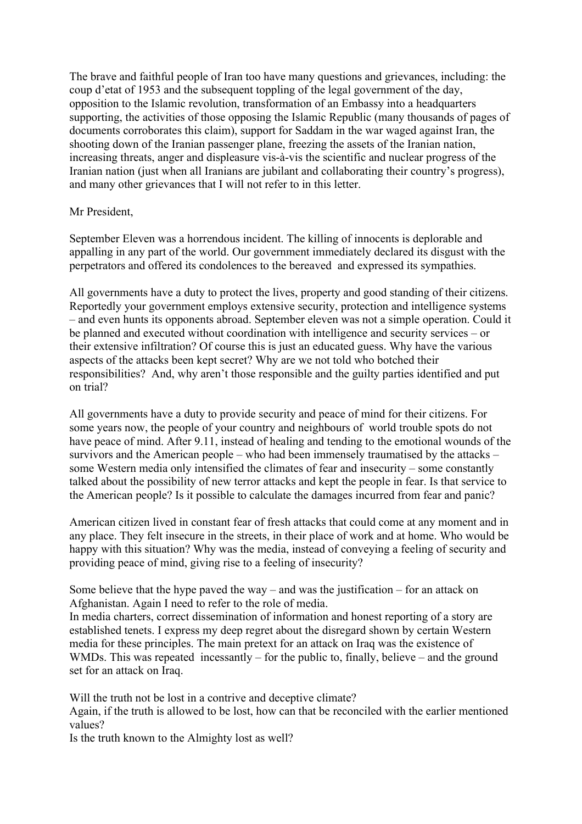The brave and faithful people of Iran too have many questions and grievances, including: the coup d'etat of 1953 and the subsequent toppling of the legal government of the day, opposition to the Islamic revolution, transformation of an Embassy into a headquarters supporting, the activities of those opposing the Islamic Republic (many thousands of pages of documents corroborates this claim), support for Saddam in the war waged against Iran, the shooting down of the Iranian passenger plane, freezing the assets of the Iranian nation, increasing threats, anger and displeasure vis-à-vis the scientific and nuclear progress of the Iranian nation (just when all Iranians are jubilant and collaborating their country's progress), and many other grievances that I will not refer to in this letter.

## Mr President,

September Eleven was a horrendous incident. The killing of innocents is deplorable and appalling in any part of the world. Our government immediately declared its disgust with the perpetrators and offered its condolences to the bereaved and expressed its sympathies.

All governments have a duty to protect the lives, property and good standing of their citizens. Reportedly your government employs extensive security, protection and intelligence systems – and even hunts its opponents abroad. September eleven was not a simple operation. Could it be planned and executed without coordination with intelligence and security services – or their extensive infiltration? Of course this is just an educated guess. Why have the various aspects of the attacks been kept secret? Why are we not told who botched their responsibilities? And, why aren't those responsible and the guilty parties identified and put on trial?

All governments have a duty to provide security and peace of mind for their citizens. For some years now, the people of your country and neighbours of world trouble spots do not have peace of mind. After 9.11, instead of healing and tending to the emotional wounds of the survivors and the American people – who had been immensely traumatised by the attacks – some Western media only intensified the climates of fear and insecurity – some constantly talked about the possibility of new terror attacks and kept the people in fear. Is that service to the American people? Is it possible to calculate the damages incurred from fear and panic?

American citizen lived in constant fear of fresh attacks that could come at any moment and in any place. They felt insecure in the streets, in their place of work and at home. Who would be happy with this situation? Why was the media, instead of conveying a feeling of security and providing peace of mind, giving rise to a feeling of insecurity?

Some believe that the hype paved the way – and was the justification – for an attack on Afghanistan. Again I need to refer to the role of media.

In media charters, correct dissemination of information and honest reporting of a story are established tenets. I express my deep regret about the disregard shown by certain Western media for these principles. The main pretext for an attack on Iraq was the existence of WMDs. This was repeated incessantly – for the public to, finally, believe – and the ground set for an attack on Iraq.

Will the truth not be lost in a contrive and deceptive climate?

Again, if the truth is allowed to be lost, how can that be reconciled with the earlier mentioned values?

Is the truth known to the Almighty lost as well?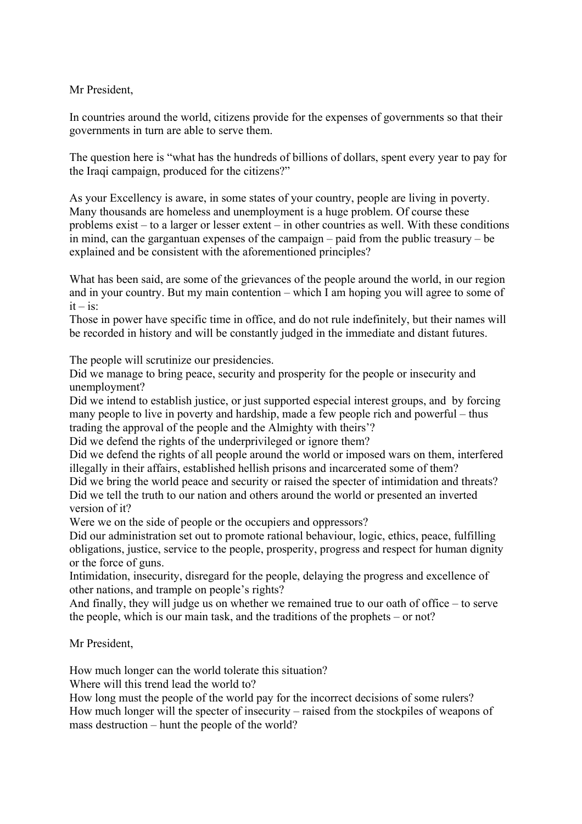Mr President,

In countries around the world, citizens provide for the expenses of governments so that their governments in turn are able to serve them.

The question here is "what has the hundreds of billions of dollars, spent every year to pay for the Iraqi campaign, produced for the citizens?"

As your Excellency is aware, in some states of your country, people are living in poverty. Many thousands are homeless and unemployment is a huge problem. Of course these problems exist – to a larger or lesser extent – in other countries as well. With these conditions in mind, can the gargantuan expenses of the campaign – paid from the public treasury – be explained and be consistent with the aforementioned principles?

What has been said, are some of the grievances of the people around the world, in our region and in your country. But my main contention – which I am hoping you will agree to some of  $it - is$ 

Those in power have specific time in office, and do not rule indefinitely, but their names will be recorded in history and will be constantly judged in the immediate and distant futures.

The people will scrutinize our presidencies.

Did we manage to bring peace, security and prosperity for the people or insecurity and unemployment?

Did we intend to establish justice, or just supported especial interest groups, and by forcing many people to live in poverty and hardship, made a few people rich and powerful – thus trading the approval of the people and the Almighty with theirs'?

Did we defend the rights of the underprivileged or ignore them?

Did we defend the rights of all people around the world or imposed wars on them, interfered illegally in their affairs, established hellish prisons and incarcerated some of them?

Did we bring the world peace and security or raised the specter of intimidation and threats? Did we tell the truth to our nation and others around the world or presented an inverted version of it?

Were we on the side of people or the occupiers and oppressors?

Did our administration set out to promote rational behaviour, logic, ethics, peace, fulfilling obligations, justice, service to the people, prosperity, progress and respect for human dignity or the force of guns.

Intimidation, insecurity, disregard for the people, delaying the progress and excellence of other nations, and trample on people's rights?

And finally, they will judge us on whether we remained true to our oath of office – to serve the people, which is our main task, and the traditions of the prophets – or not?

Mr President,

How much longer can the world tolerate this situation?

Where will this trend lead the world to?

How long must the people of the world pay for the incorrect decisions of some rulers? How much longer will the specter of insecurity – raised from the stockpiles of weapons of mass destruction – hunt the people of the world?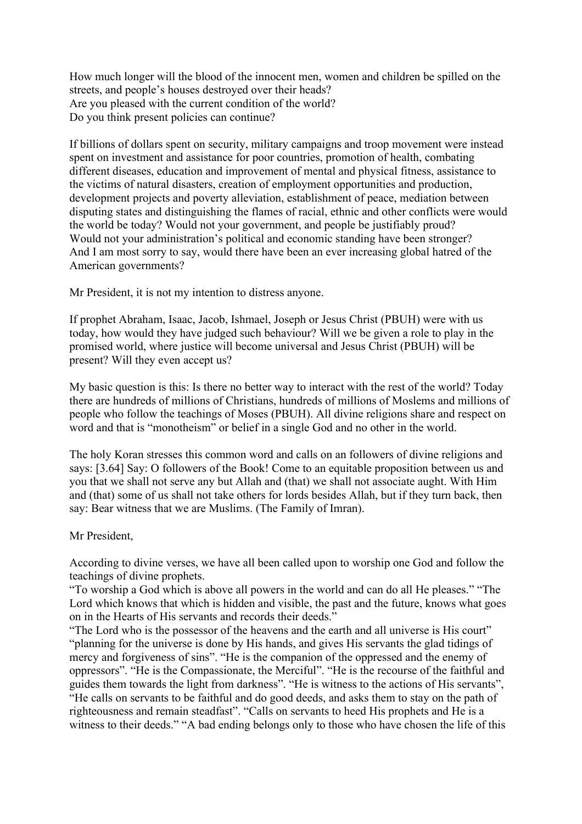How much longer will the blood of the innocent men, women and children be spilled on the streets, and people's houses destroyed over their heads? Are you pleased with the current condition of the world? Do you think present policies can continue?

If billions of dollars spent on security, military campaigns and troop movement were instead spent on investment and assistance for poor countries, promotion of health, combating different diseases, education and improvement of mental and physical fitness, assistance to the victims of natural disasters, creation of employment opportunities and production, development projects and poverty alleviation, establishment of peace, mediation between disputing states and distinguishing the flames of racial, ethnic and other conflicts were would the world be today? Would not your government, and people be justifiably proud? Would not your administration's political and economic standing have been stronger? And I am most sorry to say, would there have been an ever increasing global hatred of the American governments?

Mr President, it is not my intention to distress anyone.

If prophet Abraham, Isaac, Jacob, Ishmael, Joseph or Jesus Christ (PBUH) were with us today, how would they have judged such behaviour? Will we be given a role to play in the promised world, where justice will become universal and Jesus Christ (PBUH) will be present? Will they even accept us?

My basic question is this: Is there no better way to interact with the rest of the world? Today there are hundreds of millions of Christians, hundreds of millions of Moslems and millions of people who follow the teachings of Moses (PBUH). All divine religions share and respect on word and that is "monotheism" or belief in a single God and no other in the world.

The holy Koran stresses this common word and calls on an followers of divine religions and says: [3.64] Say: O followers of the Book! Come to an equitable proposition between us and you that we shall not serve any but Allah and (that) we shall not associate aught. With Him and (that) some of us shall not take others for lords besides Allah, but if they turn back, then say: Bear witness that we are Muslims. (The Family of Imran).

Mr President,

According to divine verses, we have all been called upon to worship one God and follow the teachings of divine prophets.

"To worship a God which is above all powers in the world and can do all He pleases." "The Lord which knows that which is hidden and visible, the past and the future, knows what goes on in the Hearts of His servants and records their deeds."

"The Lord who is the possessor of the heavens and the earth and all universe is His court" "planning for the universe is done by His hands, and gives His servants the glad tidings of mercy and forgiveness of sins". "He is the companion of the oppressed and the enemy of oppressors". "He is the Compassionate, the Merciful". "He is the recourse of the faithful and guides them towards the light from darkness". "He is witness to the actions of His servants", "He calls on servants to be faithful and do good deeds, and asks them to stay on the path of righteousness and remain steadfast". "Calls on servants to heed His prophets and He is a witness to their deeds." "A bad ending belongs only to those who have chosen the life of this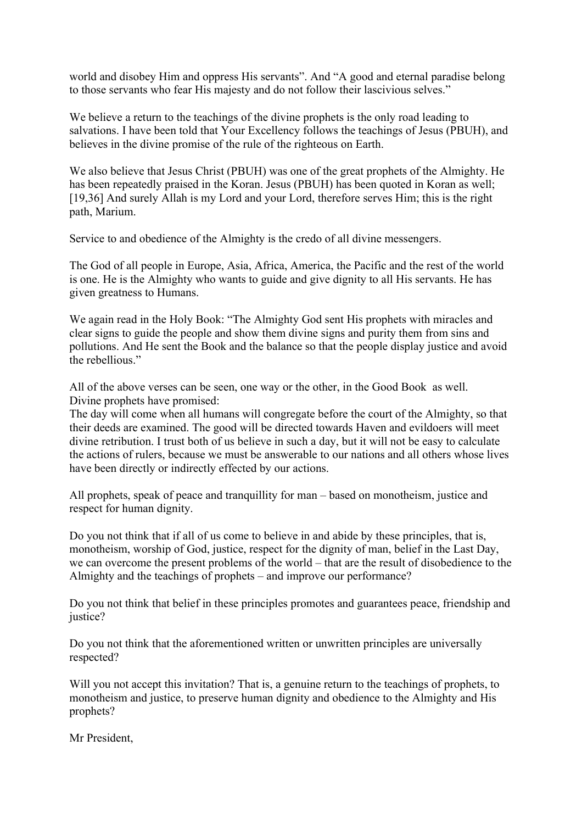world and disobey Him and oppress His servants". And "A good and eternal paradise belong to those servants who fear His majesty and do not follow their lascivious selves."

We believe a return to the teachings of the divine prophets is the only road leading to salvations. I have been told that Your Excellency follows the teachings of Jesus (PBUH), and believes in the divine promise of the rule of the righteous on Earth.

We also believe that Jesus Christ (PBUH) was one of the great prophets of the Almighty. He has been repeatedly praised in the Koran. Jesus (PBUH) has been quoted in Koran as well; [19,36] And surely Allah is my Lord and your Lord, therefore serves Him; this is the right path, Marium.

Service to and obedience of the Almighty is the credo of all divine messengers.

The God of all people in Europe, Asia, Africa, America, the Pacific and the rest of the world is one. He is the Almighty who wants to guide and give dignity to all His servants. He has given greatness to Humans.

We again read in the Holy Book: "The Almighty God sent His prophets with miracles and clear signs to guide the people and show them divine signs and purity them from sins and pollutions. And He sent the Book and the balance so that the people display justice and avoid the rebellious."

All of the above verses can be seen, one way or the other, in the Good Book as well. Divine prophets have promised:

The day will come when all humans will congregate before the court of the Almighty, so that their deeds are examined. The good will be directed towards Haven and evildoers will meet divine retribution. I trust both of us believe in such a day, but it will not be easy to calculate the actions of rulers, because we must be answerable to our nations and all others whose lives have been directly or indirectly effected by our actions.

All prophets, speak of peace and tranquillity for man – based on monotheism, justice and respect for human dignity.

Do you not think that if all of us come to believe in and abide by these principles, that is, monotheism, worship of God, justice, respect for the dignity of man, belief in the Last Day, we can overcome the present problems of the world – that are the result of disobedience to the Almighty and the teachings of prophets – and improve our performance?

Do you not think that belief in these principles promotes and guarantees peace, friendship and justice?

Do you not think that the aforementioned written or unwritten principles are universally respected?

Will you not accept this invitation? That is, a genuine return to the teachings of prophets, to monotheism and justice, to preserve human dignity and obedience to the Almighty and His prophets?

Mr President,